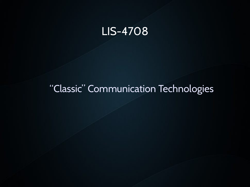#### LIS-4708

#### "Classic" Communication Technologies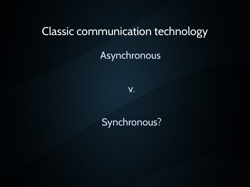#### Classic communication technology

Asynchronous

v.

#### Synchronous?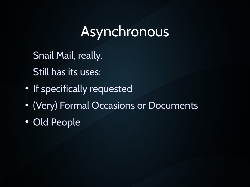### Asynchronous

Snail Mail, really. Still has its uses:

- If specifically requested
- (Very) Formal Occasions or Documents

• Old People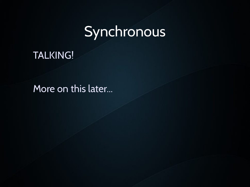## Synchronous

#### TALKING!

More on this later...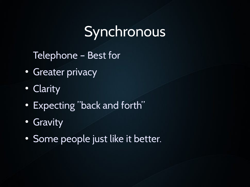## **Synchronous**

Telephone – Best for

- Greater privacy
- Clarity
- Expecting "back and forth"
- Gravity
- Some people just like it better.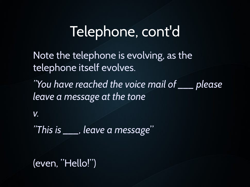### Telephone, cont'd

Note the telephone is evolving, as the telephone itself evolves.

*"You have reached the voice mail of \_\_\_ please leave a message at the tone* 

*v.* 

*"This is \_\_\_, leave a message*"

(even, "Hello!")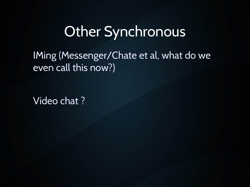### Other Synchronous

IMing (Messenger/Chate et al, what do we even call this now?)

Video chat ?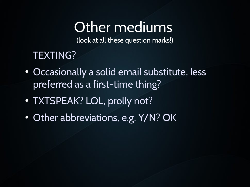## Other mediums

(look at all these question marks!)

#### TEXTING?

- Occasionally a solid email substitute, less preferred as a first-time thing?
- TXTSPEAK? LOL, prolly not?
- Other abbreviations, e.g. Y/N? OK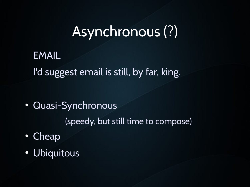## Asynchronous (?)

EMAIL I'd suggest email is still, by far, king.

• Quasi-Synchronous

(speedy, but still time to compose)

- Cheap
- Ubiquitous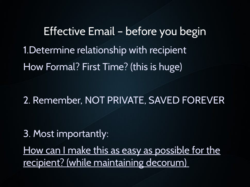Effective Email – before you begin 1.Determine relationship with recipient How Formal? First Time? (this is huge)

2. Remember, NOT PRIVATE, SAVED FOREVER

3. Most importantly:

How can I make this as easy as possible for the recipient? (while maintaining decorum)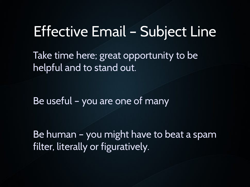### Effective Email – Subject Line

Take time here; great opportunity to be helpful and to stand out.

Be useful – you are one of many

Be human – you might have to beat a spam filter, literally or figuratively.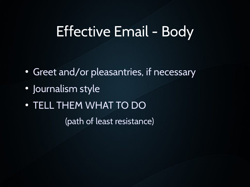### Effective Email - Body

- Greet and/or pleasantries, if necessary
- Journalism style
- TELL THEM WHAT TO DO

(path of least resistance)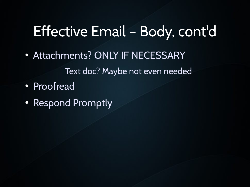### Effective Email – Body, cont'd

• Attachments? ONLY IF NECESSARY

Text doc? Maybe not even needed

- Proofread
- Respond Promptly